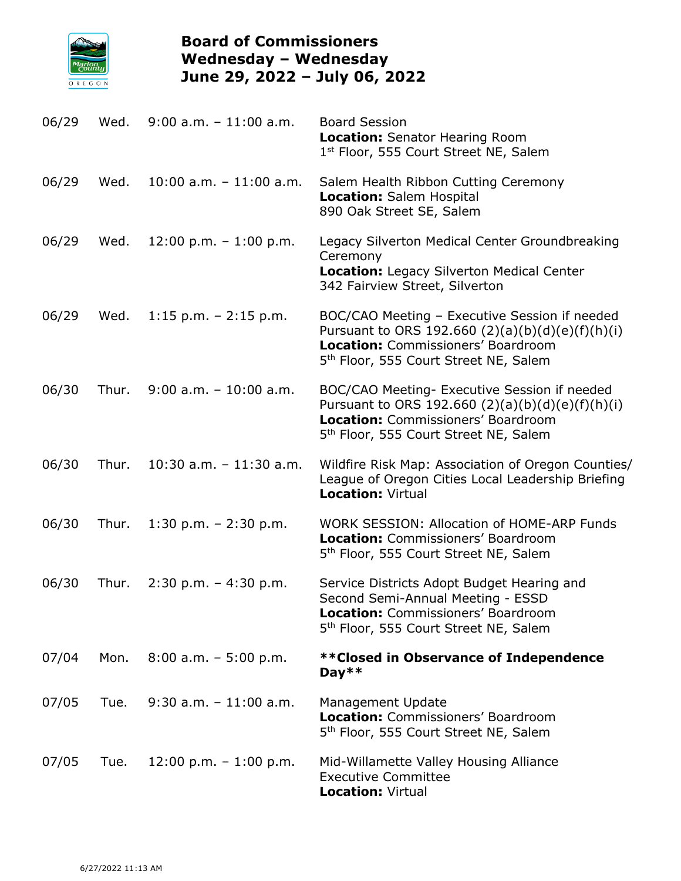

## **Board of Commissioners Wednesday – Wednesday June 29, 2022 – July 06, 2022**

| 06/29 | Wed.  | $9:00$ a.m. $-11:00$ a.m.  | <b>Board Session</b><br><b>Location: Senator Hearing Room</b><br>1st Floor, 555 Court Street NE, Salem                                                                                         |
|-------|-------|----------------------------|------------------------------------------------------------------------------------------------------------------------------------------------------------------------------------------------|
| 06/29 | Wed.  | $10:00$ a.m. $-11:00$ a.m. | Salem Health Ribbon Cutting Ceremony<br><b>Location: Salem Hospital</b><br>890 Oak Street SE, Salem                                                                                            |
| 06/29 | Wed.  | $12:00$ p.m. $-1:00$ p.m.  | Legacy Silverton Medical Center Groundbreaking<br>Ceremony<br><b>Location: Legacy Silverton Medical Center</b><br>342 Fairview Street, Silverton                                               |
| 06/29 | Wed.  | $1:15$ p.m. $-2:15$ p.m.   | BOC/CAO Meeting - Executive Session if needed<br>Pursuant to ORS 192.660 $(2)(a)(b)(d)(e)(f)(h)(i)$<br>Location: Commissioners' Boardroom<br>5 <sup>th</sup> Floor, 555 Court Street NE, Salem |
| 06/30 | Thur. | $9:00$ a.m. $-10:00$ a.m.  | BOC/CAO Meeting- Executive Session if needed<br>Pursuant to ORS 192.660 $(2)(a)(b)(d)(e)(f)(h)(i)$<br>Location: Commissioners' Boardroom<br>5 <sup>th</sup> Floor, 555 Court Street NE, Salem  |
| 06/30 | Thur. | $10:30$ a.m. $-11:30$ a.m. | Wildfire Risk Map: Association of Oregon Counties/<br>League of Oregon Cities Local Leadership Briefing<br><b>Location: Virtual</b>                                                            |
| 06/30 | Thur. | 1:30 p.m. $- 2:30$ p.m.    | <b>WORK SESSION: Allocation of HOME-ARP Funds</b><br>Location: Commissioners' Boardroom<br>5 <sup>th</sup> Floor, 555 Court Street NE, Salem                                                   |
| 06/30 | Thur. | $2:30$ p.m. - 4:30 p.m.    | Service Districts Adopt Budget Hearing and<br>Second Semi-Annual Meeting - ESSD<br>Location: Commissioners' Boardroom<br>5 <sup>th</sup> Floor, 555 Court Street NE, Salem                     |
| 07/04 | Mon.  | $8:00$ a.m. - 5:00 p.m.    | ** Closed in Observance of Independence<br>Day $**$                                                                                                                                            |
| 07/05 | Tue.  | $9:30$ a.m. $-11:00$ a.m.  | <b>Management Update</b><br>Location: Commissioners' Boardroom<br>5 <sup>th</sup> Floor, 555 Court Street NE, Salem                                                                            |
| 07/05 | Tue.  | $12:00$ p.m. $-1:00$ p.m.  | Mid-Willamette Valley Housing Alliance<br><b>Executive Committee</b><br><b>Location: Virtual</b>                                                                                               |